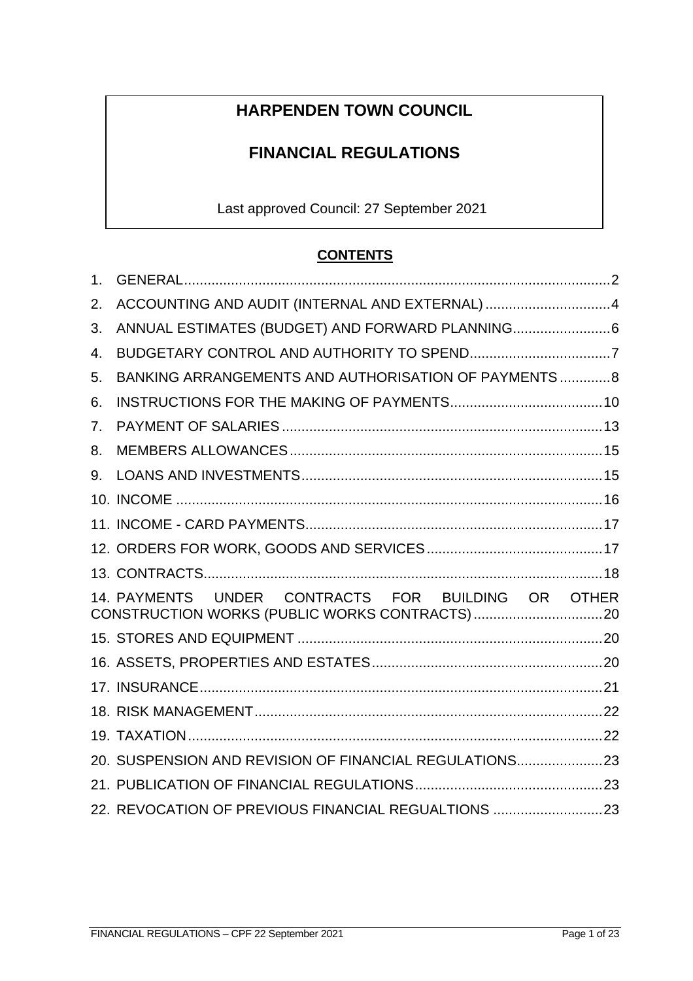# **HARPENDEN TOWN COUNCIL**

# **FINANCIAL REGULATIONS**

Last approved Council: 27 September 2021

# **CONTENTS**

| 1.                             |                                                        |  |
|--------------------------------|--------------------------------------------------------|--|
| 2.                             | ACCOUNTING AND AUDIT (INTERNAL AND EXTERNAL) 4         |  |
| 3.                             | ANNUAL ESTIMATES (BUDGET) AND FORWARD PLANNING 6       |  |
| 4.                             |                                                        |  |
| 5.                             | BANKING ARRANGEMENTS AND AUTHORISATION OF PAYMENTS 8   |  |
| 6.                             |                                                        |  |
| $7_{\scriptscriptstyle{\sim}}$ |                                                        |  |
| 8.                             |                                                        |  |
| 9.                             |                                                        |  |
|                                |                                                        |  |
|                                |                                                        |  |
|                                |                                                        |  |
|                                |                                                        |  |
|                                | 14. PAYMENTS UNDER CONTRACTS FOR BUILDING OR OTHER     |  |
|                                |                                                        |  |
|                                |                                                        |  |
|                                |                                                        |  |
|                                |                                                        |  |
|                                |                                                        |  |
|                                | 20. SUSPENSION AND REVISION OF FINANCIAL REGULATIONS23 |  |
|                                |                                                        |  |
|                                | 22. REVOCATION OF PREVIOUS FINANCIAL REGUALTIONS 23    |  |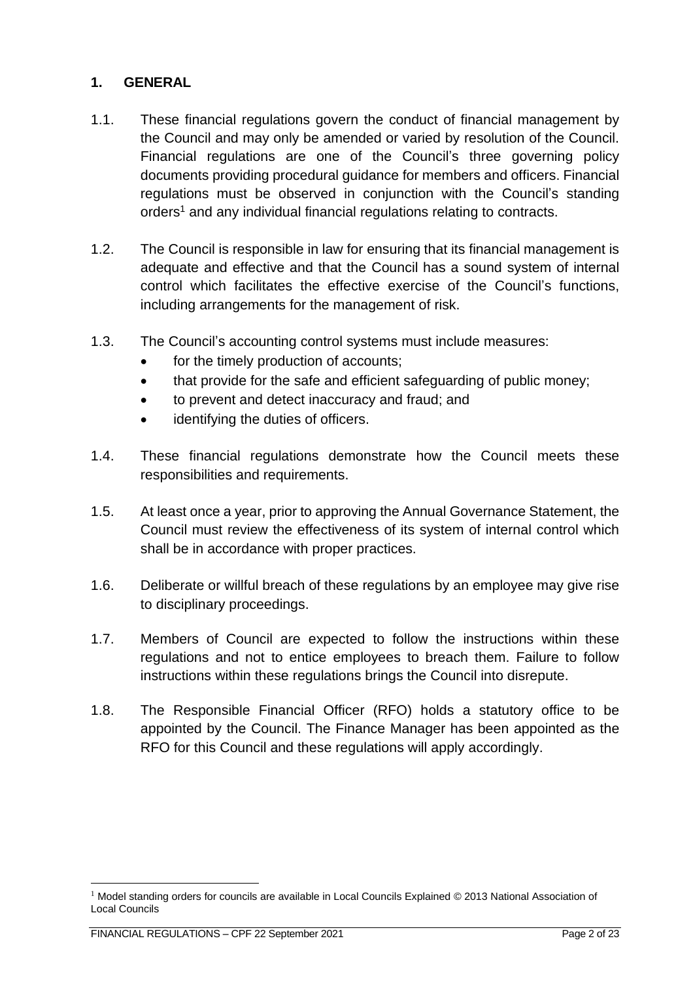# <span id="page-1-0"></span>**1. GENERAL**

- 1.1. These financial regulations govern the conduct of financial management by the Council and may only be amended or varied by resolution of the Council. Financial regulations are one of the Council's three governing policy documents providing procedural guidance for members and officers. Financial regulations must be observed in conjunction with the Council's standing orders<sup>1</sup> and any individual financial regulations relating to contracts.
- 1.2. The Council is responsible in law for ensuring that its financial management is adequate and effective and that the Council has a sound system of internal control which facilitates the effective exercise of the Council's functions, including arrangements for the management of risk.
- 1.3. The Council's accounting control systems must include measures:
	- for the timely production of accounts;
	- that provide for the safe and efficient safeguarding of public money;
	- to prevent and detect inaccuracy and fraud; and
	- identifying the duties of officers.
- 1.4. These financial regulations demonstrate how the Council meets these responsibilities and requirements.
- 1.5. At least once a year, prior to approving the Annual Governance Statement, the Council must review the effectiveness of its system of internal control which shall be in accordance with proper practices.
- 1.6. Deliberate or willful breach of these regulations by an employee may give rise to disciplinary proceedings.
- 1.7. Members of Council are expected to follow the instructions within these regulations and not to entice employees to breach them. Failure to follow instructions within these regulations brings the Council into disrepute.
- 1.8. The Responsible Financial Officer (RFO) holds a statutory office to be appointed by the Council. The Finance Manager has been appointed as the RFO for this Council and these regulations will apply accordingly.

 $1$  Model standing orders for councils are available in Local Councils Explained  $\odot$  2013 National Association of Local Councils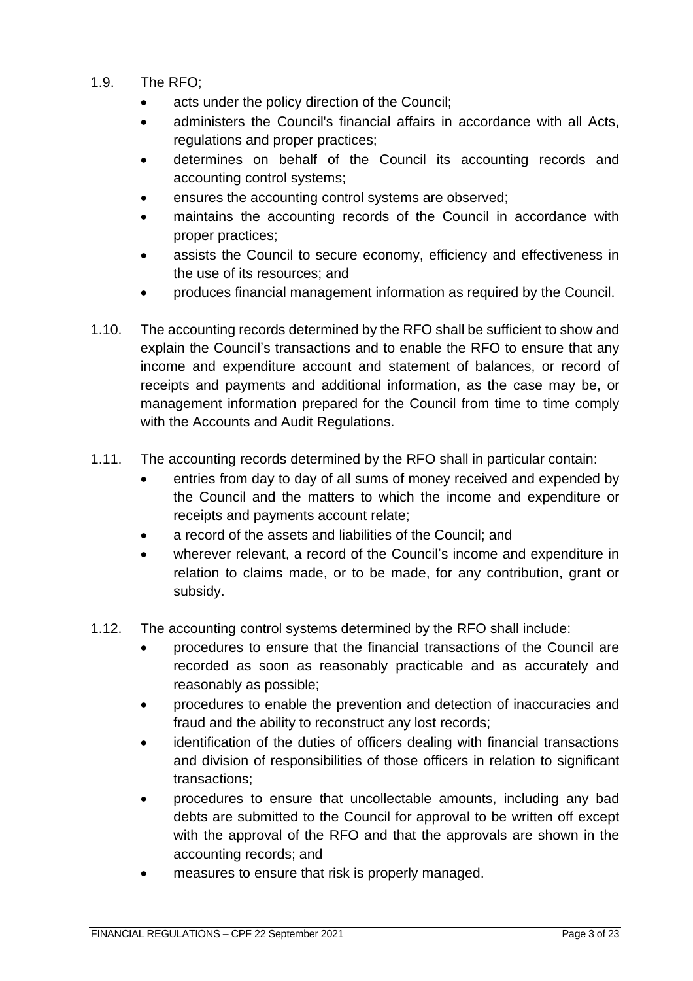- 1.9. The RFO;
	- acts under the policy direction of the Council;
	- administers the Council's financial affairs in accordance with all Acts, regulations and proper practices;
	- determines on behalf of the Council its accounting records and accounting control systems;
	- ensures the accounting control systems are observed;
	- maintains the accounting records of the Council in accordance with proper practices;
	- assists the Council to secure economy, efficiency and effectiveness in the use of its resources; and
	- produces financial management information as required by the Council.
- 1.10. The accounting records determined by the RFO shall be sufficient to show and explain the Council's transactions and to enable the RFO to ensure that any income and expenditure account and statement of balances, or record of receipts and payments and additional information, as the case may be, or management information prepared for the Council from time to time comply with the Accounts and Audit Regulations.
- 1.11. The accounting records determined by the RFO shall in particular contain:
	- entries from day to day of all sums of money received and expended by the Council and the matters to which the income and expenditure or receipts and payments account relate;
	- a record of the assets and liabilities of the Council; and
	- wherever relevant, a record of the Council's income and expenditure in relation to claims made, or to be made, for any contribution, grant or subsidy.
- 1.12. The accounting control systems determined by the RFO shall include:
	- procedures to ensure that the financial transactions of the Council are recorded as soon as reasonably practicable and as accurately and reasonably as possible;
	- procedures to enable the prevention and detection of inaccuracies and fraud and the ability to reconstruct any lost records;
	- identification of the duties of officers dealing with financial transactions and division of responsibilities of those officers in relation to significant transactions;
	- procedures to ensure that uncollectable amounts, including any bad debts are submitted to the Council for approval to be written off except with the approval of the RFO and that the approvals are shown in the accounting records; and
	- measures to ensure that risk is properly managed.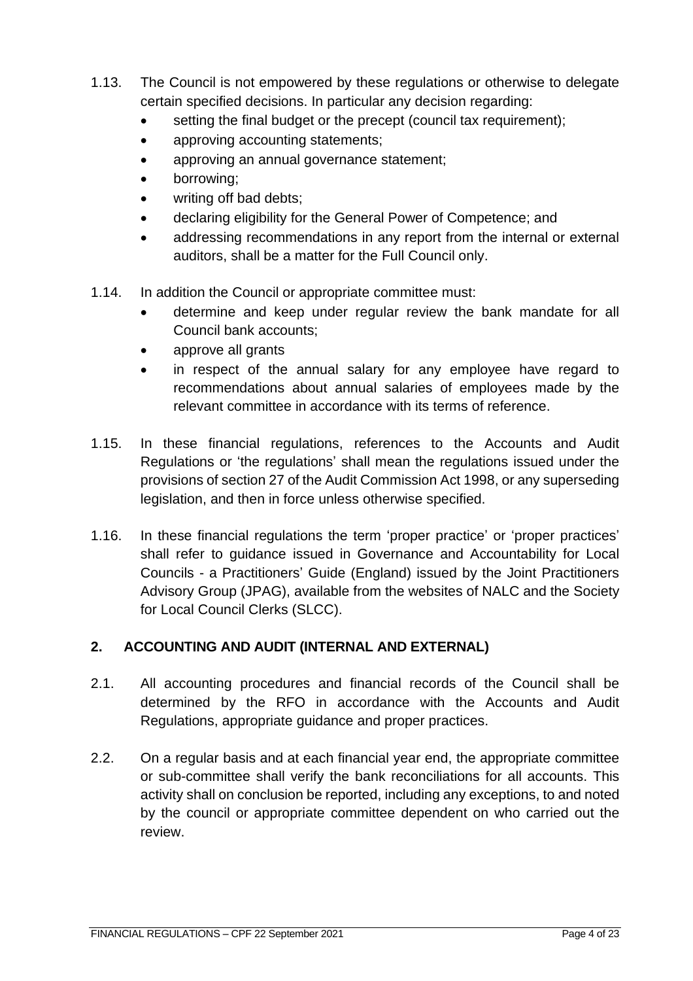- 1.13. The Council is not empowered by these regulations or otherwise to delegate certain specified decisions. In particular any decision regarding:
	- setting the final budget or the precept (council tax requirement);
	- approving accounting statements;
	- approving an annual governance statement;
	- borrowing;
	- writing off bad debts;
	- declaring eligibility for the General Power of Competence; and
	- addressing recommendations in any report from the internal or external auditors, shall be a matter for the Full Council only.
- 1.14. In addition the Council or appropriate committee must:
	- determine and keep under regular review the bank mandate for all Council bank accounts;
	- approve all grants
	- in respect of the annual salary for any employee have regard to recommendations about annual salaries of employees made by the relevant committee in accordance with its terms of reference.
- 1.15. In these financial regulations, references to the Accounts and Audit Regulations or 'the regulations' shall mean the regulations issued under the provisions of section 27 of the Audit Commission Act 1998, or any superseding legislation, and then in force unless otherwise specified.
- 1.16. In these financial regulations the term 'proper practice' or 'proper practices' shall refer to guidance issued in Governance and Accountability for Local Councils - a Practitioners' Guide (England) issued by the Joint Practitioners Advisory Group (JPAG), available from the websites of NALC and the Society for Local Council Clerks (SLCC).

# <span id="page-3-0"></span>**2. ACCOUNTING AND AUDIT (INTERNAL AND EXTERNAL)**

- 2.1. All accounting procedures and financial records of the Council shall be determined by the RFO in accordance with the Accounts and Audit Regulations, appropriate guidance and proper practices.
- 2.2. On a regular basis and at each financial year end, the appropriate committee or sub-committee shall verify the bank reconciliations for all accounts. This activity shall on conclusion be reported, including any exceptions, to and noted by the council or appropriate committee dependent on who carried out the review.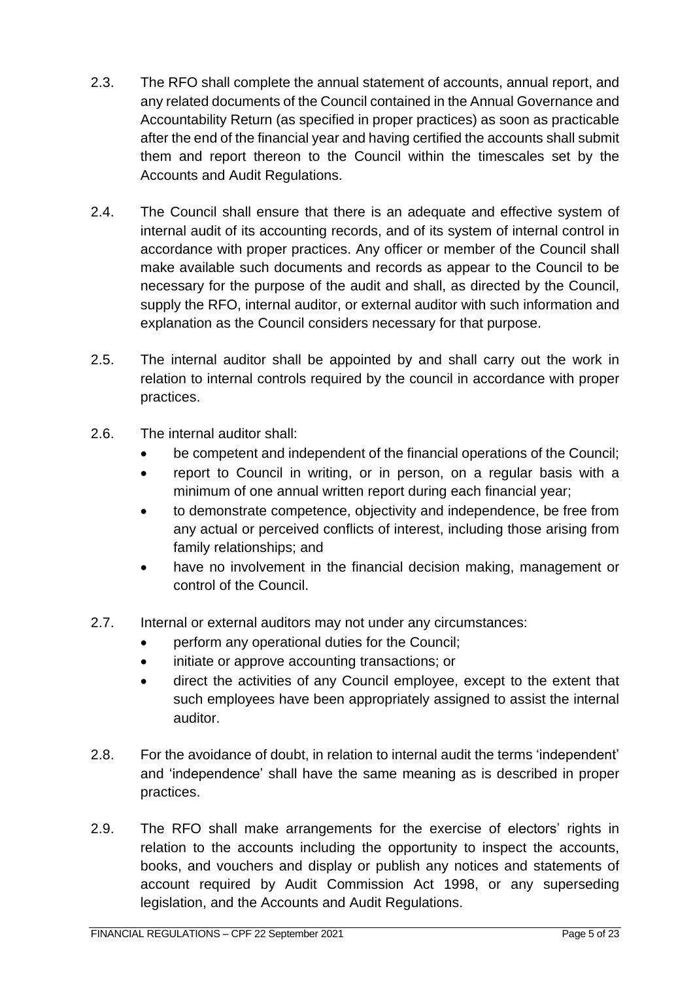- 2.3. The RFO shall complete the annual statement of accounts, annual report, and any related documents of the Council contained in the Annual Governance and Accountability Return (as specified in proper practices) as soon as practicable after the end of the financial year and having certified the accounts shall submit them and report thereon to the Council within the timescales set by the Accounts and Audit Regulations.
- 2.4. The Council shall ensure that there is an adequate and effective system of internal audit of its accounting records, and of its system of internal control in accordance with proper practices. Any officer or member of the Council shall make available such documents and records as appear to the Council to be necessary for the purpose of the audit and shall, as directed by the Council, supply the RFO, internal auditor, or external auditor with such information and explanation as the Council considers necessary for that purpose.
- 2.5. The internal auditor shall be appointed by and shall carry out the work in relation to internal controls required by the council in accordance with proper practices.
- 2.6. The internal auditor shall:
	- be competent and independent of the financial operations of the Council;
	- report to Council in writing, or in person, on a regular basis with a minimum of one annual written report during each financial year;
	- to demonstrate competence, objectivity and independence, be free from any actual or perceived conflicts of interest, including those arising from family relationships; and
	- have no involvement in the financial decision making, management or control of the Council.
- 2.7. Internal or external auditors may not under any circumstances:
	- perform any operational duties for the Council;
	- initiate or approve accounting transactions; or
	- direct the activities of any Council employee, except to the extent that such employees have been appropriately assigned to assist the internal auditor.
- 2.8. For the avoidance of doubt, in relation to internal audit the terms 'independent' and 'independence' shall have the same meaning as is described in proper practices.
- 2.9. The RFO shall make arrangements for the exercise of electors' rights in relation to the accounts including the opportunity to inspect the accounts, books, and vouchers and display or publish any notices and statements of account required by Audit Commission Act 1998, or any superseding legislation, and the Accounts and Audit Regulations.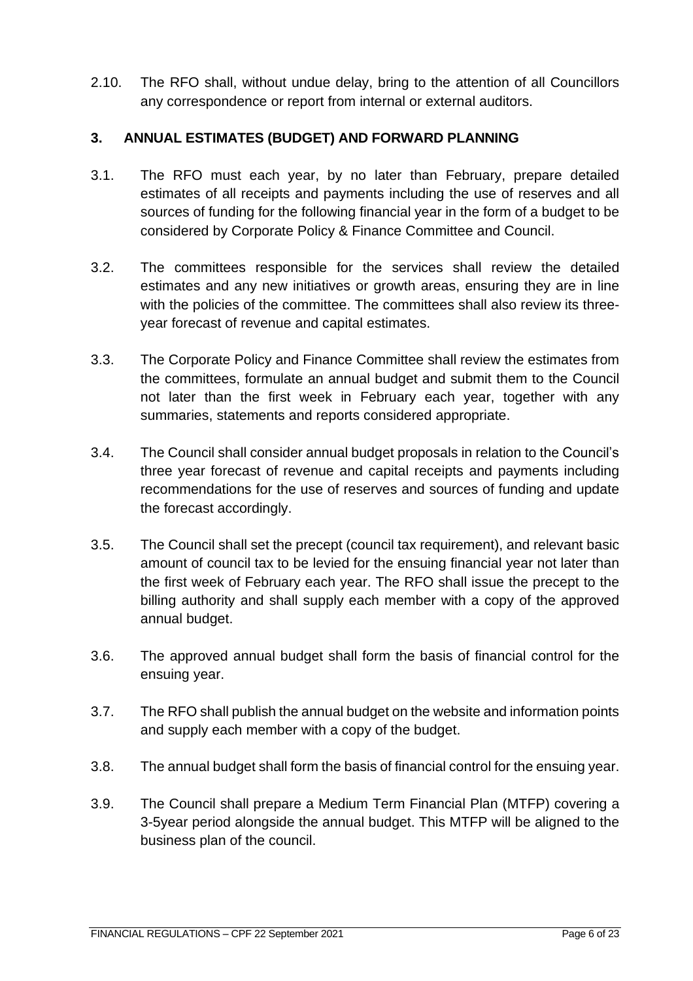2.10. The RFO shall, without undue delay, bring to the attention of all Councillors any correspondence or report from internal or external auditors.

# <span id="page-5-0"></span>**3. ANNUAL ESTIMATES (BUDGET) AND FORWARD PLANNING**

- 3.1. The RFO must each year, by no later than February, prepare detailed estimates of all receipts and payments including the use of reserves and all sources of funding for the following financial year in the form of a budget to be considered by Corporate Policy & Finance Committee and Council.
- 3.2. The committees responsible for the services shall review the detailed estimates and any new initiatives or growth areas, ensuring they are in line with the policies of the committee. The committees shall also review its threeyear forecast of revenue and capital estimates.
- 3.3. The Corporate Policy and Finance Committee shall review the estimates from the committees, formulate an annual budget and submit them to the Council not later than the first week in February each year, together with any summaries, statements and reports considered appropriate.
- 3.4. The Council shall consider annual budget proposals in relation to the Council's three year forecast of revenue and capital receipts and payments including recommendations for the use of reserves and sources of funding and update the forecast accordingly.
- 3.5. The Council shall set the precept (council tax requirement), and relevant basic amount of council tax to be levied for the ensuing financial year not later than the first week of February each year. The RFO shall issue the precept to the billing authority and shall supply each member with a copy of the approved annual budget.
- 3.6. The approved annual budget shall form the basis of financial control for the ensuing year.
- 3.7. The RFO shall publish the annual budget on the website and information points and supply each member with a copy of the budget.
- 3.8. The annual budget shall form the basis of financial control for the ensuing year.
- 3.9. The Council shall prepare a Medium Term Financial Plan (MTFP) covering a 3-5year period alongside the annual budget. This MTFP will be aligned to the business plan of the council.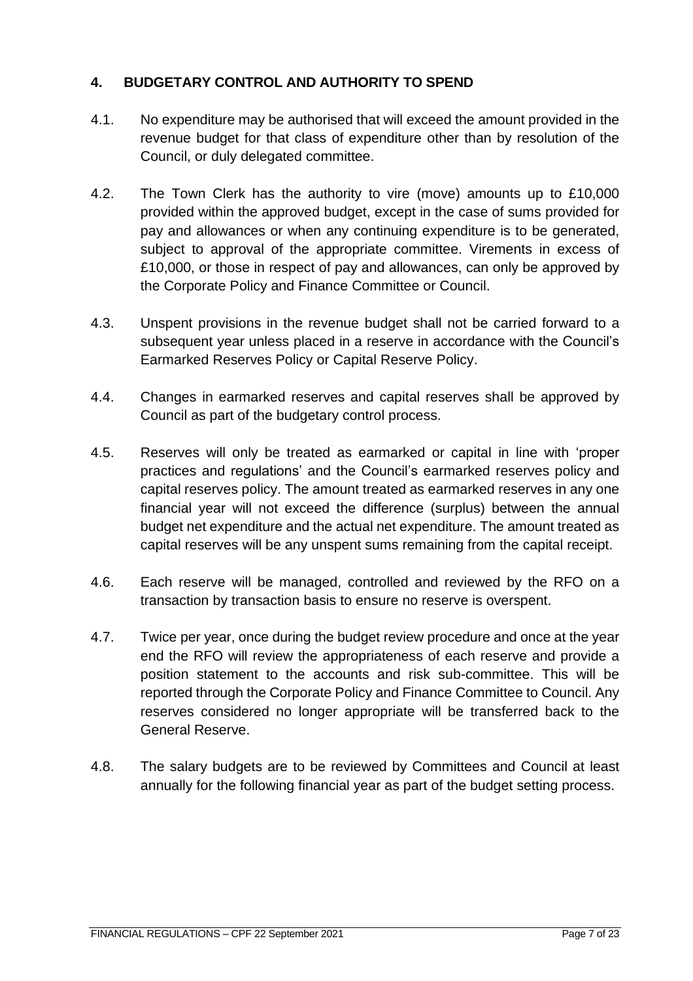# <span id="page-6-0"></span>**4. BUDGETARY CONTROL AND AUTHORITY TO SPEND**

- 4.1. No expenditure may be authorised that will exceed the amount provided in the revenue budget for that class of expenditure other than by resolution of the Council, or duly delegated committee.
- 4.2. The Town Clerk has the authority to vire (move) amounts up to £10,000 provided within the approved budget, except in the case of sums provided for pay and allowances or when any continuing expenditure is to be generated, subject to approval of the appropriate committee. Virements in excess of £10,000, or those in respect of pay and allowances, can only be approved by the Corporate Policy and Finance Committee or Council.
- 4.3. Unspent provisions in the revenue budget shall not be carried forward to a subsequent year unless placed in a reserve in accordance with the Council's Earmarked Reserves Policy or Capital Reserve Policy.
- 4.4. Changes in earmarked reserves and capital reserves shall be approved by Council as part of the budgetary control process.
- 4.5. Reserves will only be treated as earmarked or capital in line with 'proper practices and regulations' and the Council's earmarked reserves policy and capital reserves policy. The amount treated as earmarked reserves in any one financial year will not exceed the difference (surplus) between the annual budget net expenditure and the actual net expenditure. The amount treated as capital reserves will be any unspent sums remaining from the capital receipt.
- 4.6. Each reserve will be managed, controlled and reviewed by the RFO on a transaction by transaction basis to ensure no reserve is overspent.
- 4.7. Twice per year, once during the budget review procedure and once at the year end the RFO will review the appropriateness of each reserve and provide a position statement to the accounts and risk sub-committee. This will be reported through the Corporate Policy and Finance Committee to Council. Any reserves considered no longer appropriate will be transferred back to the General Reserve.
- 4.8. The salary budgets are to be reviewed by Committees and Council at least annually for the following financial year as part of the budget setting process.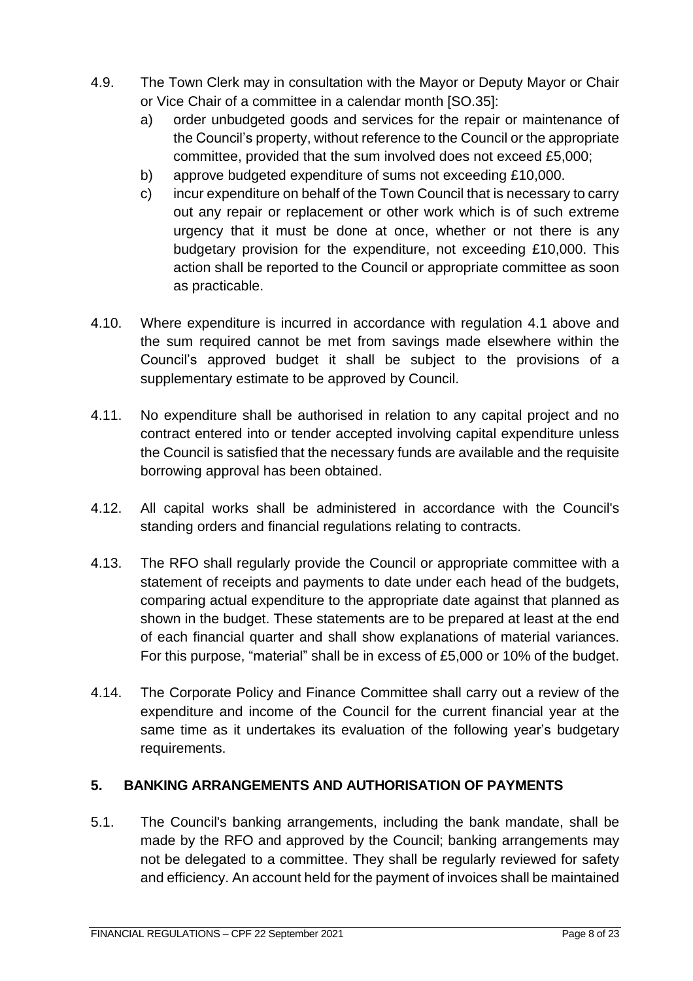- 4.9. The Town Clerk may in consultation with the Mayor or Deputy Mayor or Chair or Vice Chair of a committee in a calendar month [SO.35]:
	- a) order unbudgeted goods and services for the repair or maintenance of the Council's property, without reference to the Council or the appropriate committee, provided that the sum involved does not exceed £5,000;
	- b) approve budgeted expenditure of sums not exceeding £10,000.
	- c) incur expenditure on behalf of the Town Council that is necessary to carry out any repair or replacement or other work which is of such extreme urgency that it must be done at once, whether or not there is any budgetary provision for the expenditure, not exceeding £10,000. This action shall be reported to the Council or appropriate committee as soon as practicable.
- 4.10. Where expenditure is incurred in accordance with regulation 4.1 above and the sum required cannot be met from savings made elsewhere within the Council's approved budget it shall be subject to the provisions of a supplementary estimate to be approved by Council.
- 4.11. No expenditure shall be authorised in relation to any capital project and no contract entered into or tender accepted involving capital expenditure unless the Council is satisfied that the necessary funds are available and the requisite borrowing approval has been obtained.
- 4.12. All capital works shall be administered in accordance with the Council's standing orders and financial regulations relating to contracts.
- 4.13. The RFO shall regularly provide the Council or appropriate committee with a statement of receipts and payments to date under each head of the budgets, comparing actual expenditure to the appropriate date against that planned as shown in the budget. These statements are to be prepared at least at the end of each financial quarter and shall show explanations of material variances. For this purpose, "material" shall be in excess of £5,000 or 10% of the budget.
- 4.14. The Corporate Policy and Finance Committee shall carry out a review of the expenditure and income of the Council for the current financial year at the same time as it undertakes its evaluation of the following year's budgetary requirements.

# <span id="page-7-0"></span>**5. BANKING ARRANGEMENTS AND AUTHORISATION OF PAYMENTS**

5.1. The Council's banking arrangements, including the bank mandate, shall be made by the RFO and approved by the Council; banking arrangements may not be delegated to a committee. They shall be regularly reviewed for safety and efficiency. An account held for the payment of invoices shall be maintained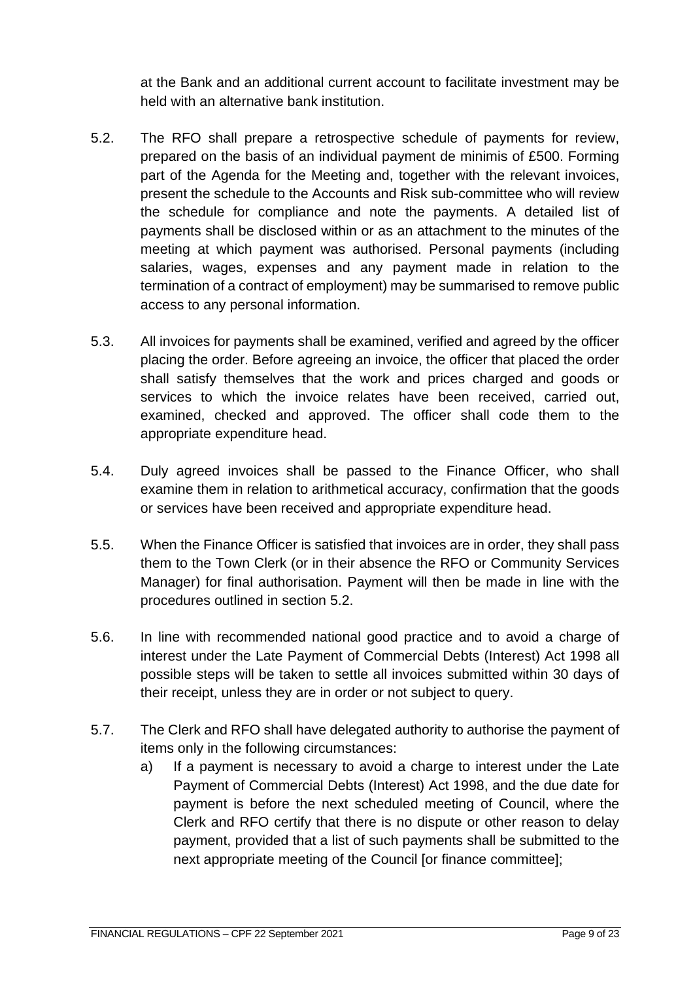at the Bank and an additional current account to facilitate investment may be held with an alternative bank institution.

- 5.2. The RFO shall prepare a retrospective schedule of payments for review, prepared on the basis of an individual payment de minimis of £500. Forming part of the Agenda for the Meeting and, together with the relevant invoices, present the schedule to the Accounts and Risk sub-committee who will review the schedule for compliance and note the payments. A detailed list of payments shall be disclosed within or as an attachment to the minutes of the meeting at which payment was authorised. Personal payments (including salaries, wages, expenses and any payment made in relation to the termination of a contract of employment) may be summarised to remove public access to any personal information.
- 5.3. All invoices for payments shall be examined, verified and agreed by the officer placing the order. Before agreeing an invoice, the officer that placed the order shall satisfy themselves that the work and prices charged and goods or services to which the invoice relates have been received, carried out, examined, checked and approved. The officer shall code them to the appropriate expenditure head.
- 5.4. Duly agreed invoices shall be passed to the Finance Officer, who shall examine them in relation to arithmetical accuracy, confirmation that the goods or services have been received and appropriate expenditure head.
- 5.5. When the Finance Officer is satisfied that invoices are in order, they shall pass them to the Town Clerk (or in their absence the RFO or Community Services Manager) for final authorisation. Payment will then be made in line with the procedures outlined in section 5.2.
- 5.6. In line with recommended national good practice and to avoid a charge of interest under the Late Payment of Commercial Debts (Interest) Act 1998 all possible steps will be taken to settle all invoices submitted within 30 days of their receipt, unless they are in order or not subject to query.
- 5.7. The Clerk and RFO shall have delegated authority to authorise the payment of items only in the following circumstances:
	- a) If a payment is necessary to avoid a charge to interest under the Late Payment of Commercial Debts (Interest) Act 1998, and the due date for payment is before the next scheduled meeting of Council, where the Clerk and RFO certify that there is no dispute or other reason to delay payment, provided that a list of such payments shall be submitted to the next appropriate meeting of the Council [or finance committee];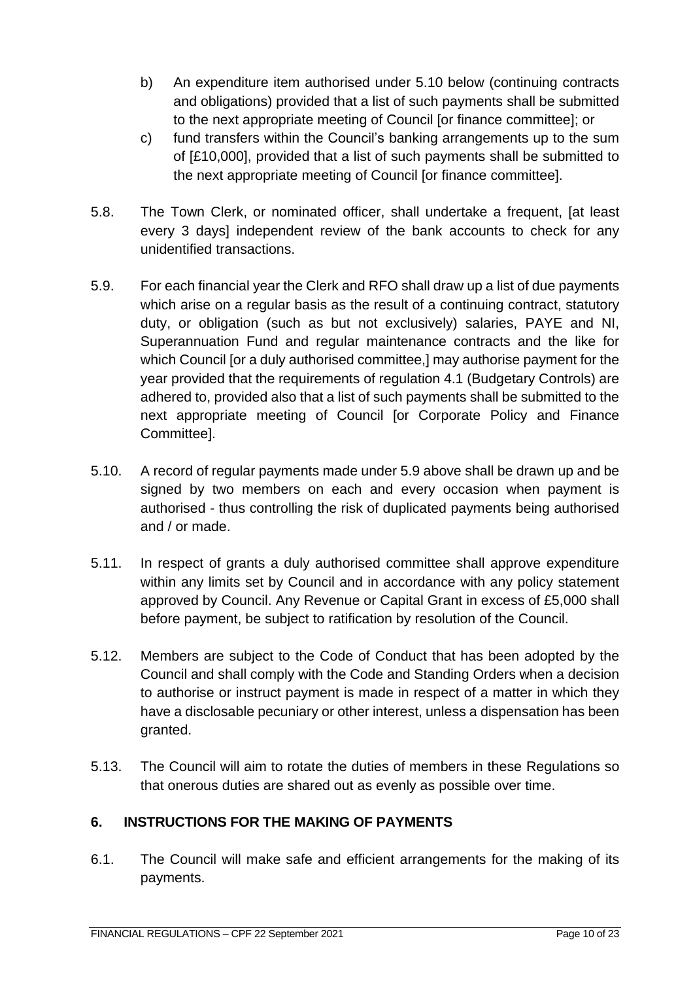- b) An expenditure item authorised under 5.10 below (continuing contracts and obligations) provided that a list of such payments shall be submitted to the next appropriate meeting of Council [or finance committee]; or
- c) fund transfers within the Council's banking arrangements up to the sum of [£10,000], provided that a list of such payments shall be submitted to the next appropriate meeting of Council [or finance committee].
- 5.8. The Town Clerk, or nominated officer, shall undertake a frequent, [at least every 3 days] independent review of the bank accounts to check for any unidentified transactions.
- 5.9. For each financial year the Clerk and RFO shall draw up a list of due payments which arise on a regular basis as the result of a continuing contract, statutory duty, or obligation (such as but not exclusively) salaries, PAYE and NI, Superannuation Fund and regular maintenance contracts and the like for which Council [or a duly authorised committee,] may authorise payment for the year provided that the requirements of regulation 4.1 (Budgetary Controls) are adhered to, provided also that a list of such payments shall be submitted to the next appropriate meeting of Council [or Corporate Policy and Finance Committee].
- 5.10. A record of regular payments made under 5.9 above shall be drawn up and be signed by two members on each and every occasion when payment is authorised - thus controlling the risk of duplicated payments being authorised and / or made.
- 5.11. In respect of grants a duly authorised committee shall approve expenditure within any limits set by Council and in accordance with any policy statement approved by Council. Any Revenue or Capital Grant in excess of £5,000 shall before payment, be subject to ratification by resolution of the Council.
- 5.12. Members are subject to the Code of Conduct that has been adopted by the Council and shall comply with the Code and Standing Orders when a decision to authorise or instruct payment is made in respect of a matter in which they have a disclosable pecuniary or other interest, unless a dispensation has been granted.
- 5.13. The Council will aim to rotate the duties of members in these Regulations so that onerous duties are shared out as evenly as possible over time.

# <span id="page-9-0"></span>**6. INSTRUCTIONS FOR THE MAKING OF PAYMENTS**

6.1. The Council will make safe and efficient arrangements for the making of its payments.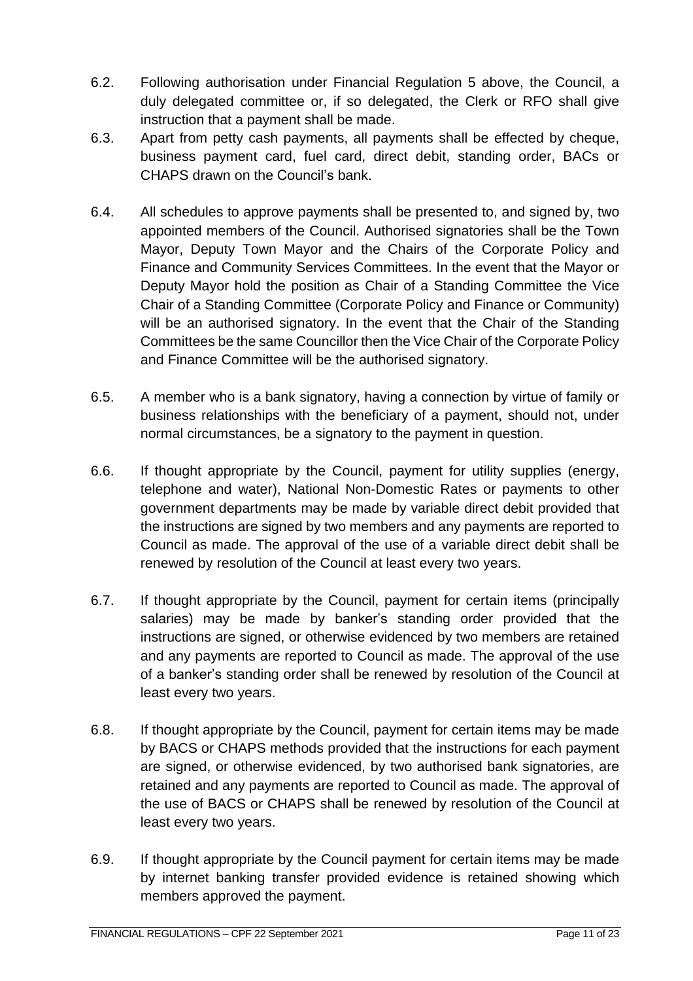- 6.2. Following authorisation under Financial Regulation 5 above, the Council, a duly delegated committee or, if so delegated, the Clerk or RFO shall give instruction that a payment shall be made.
- 6.3. Apart from petty cash payments, all payments shall be effected by cheque, business payment card, fuel card, direct debit, standing order, BACs or CHAPS drawn on the Council's bank.
- 6.4. All schedules to approve payments shall be presented to, and signed by, two appointed members of the Council. Authorised signatories shall be the Town Mayor, Deputy Town Mayor and the Chairs of the Corporate Policy and Finance and Community Services Committees. In the event that the Mayor or Deputy Mayor hold the position as Chair of a Standing Committee the Vice Chair of a Standing Committee (Corporate Policy and Finance or Community) will be an authorised signatory. In the event that the Chair of the Standing Committees be the same Councillor then the Vice Chair of the Corporate Policy and Finance Committee will be the authorised signatory.
- 6.5. A member who is a bank signatory, having a connection by virtue of family or business relationships with the beneficiary of a payment, should not, under normal circumstances, be a signatory to the payment in question.
- 6.6. If thought appropriate by the Council, payment for utility supplies (energy, telephone and water), National Non-Domestic Rates or payments to other government departments may be made by variable direct debit provided that the instructions are signed by two members and any payments are reported to Council as made. The approval of the use of a variable direct debit shall be renewed by resolution of the Council at least every two years.
- 6.7. If thought appropriate by the Council, payment for certain items (principally salaries) may be made by banker's standing order provided that the instructions are signed, or otherwise evidenced by two members are retained and any payments are reported to Council as made. The approval of the use of a banker's standing order shall be renewed by resolution of the Council at least every two years.
- 6.8. If thought appropriate by the Council, payment for certain items may be made by BACS or CHAPS methods provided that the instructions for each payment are signed, or otherwise evidenced, by two authorised bank signatories, are retained and any payments are reported to Council as made. The approval of the use of BACS or CHAPS shall be renewed by resolution of the Council at least every two years.
- 6.9. If thought appropriate by the Council payment for certain items may be made by internet banking transfer provided evidence is retained showing which members approved the payment.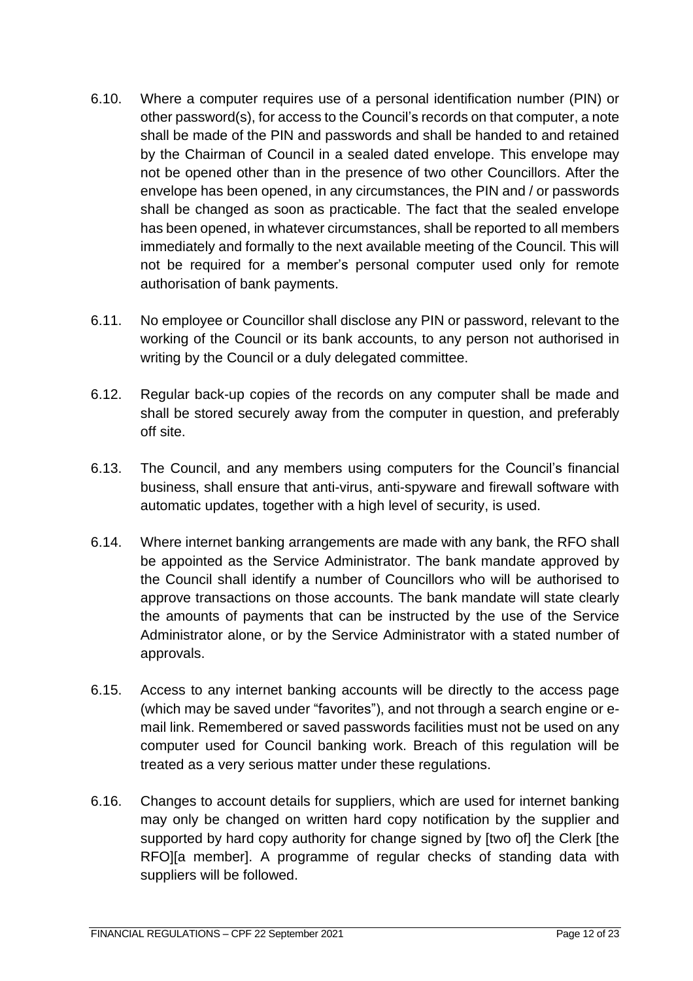- 6.10. Where a computer requires use of a personal identification number (PIN) or other password(s), for access to the Council's records on that computer, a note shall be made of the PIN and passwords and shall be handed to and retained by the Chairman of Council in a sealed dated envelope. This envelope may not be opened other than in the presence of two other Councillors. After the envelope has been opened, in any circumstances, the PIN and / or passwords shall be changed as soon as practicable. The fact that the sealed envelope has been opened, in whatever circumstances, shall be reported to all members immediately and formally to the next available meeting of the Council. This will not be required for a member's personal computer used only for remote authorisation of bank payments.
- 6.11. No employee or Councillor shall disclose any PIN or password, relevant to the working of the Council or its bank accounts, to any person not authorised in writing by the Council or a duly delegated committee.
- 6.12. Regular back-up copies of the records on any computer shall be made and shall be stored securely away from the computer in question, and preferably off site.
- 6.13. The Council, and any members using computers for the Council's financial business, shall ensure that anti-virus, anti-spyware and firewall software with automatic updates, together with a high level of security, is used.
- 6.14. Where internet banking arrangements are made with any bank, the RFO shall be appointed as the Service Administrator. The bank mandate approved by the Council shall identify a number of Councillors who will be authorised to approve transactions on those accounts. The bank mandate will state clearly the amounts of payments that can be instructed by the use of the Service Administrator alone, or by the Service Administrator with a stated number of approvals.
- 6.15. Access to any internet banking accounts will be directly to the access page (which may be saved under "favorites"), and not through a search engine or email link. Remembered or saved passwords facilities must not be used on any computer used for Council banking work. Breach of this regulation will be treated as a very serious matter under these regulations.
- 6.16. Changes to account details for suppliers, which are used for internet banking may only be changed on written hard copy notification by the supplier and supported by hard copy authority for change signed by [two of] the Clerk [the RFO][a member]. A programme of regular checks of standing data with suppliers will be followed.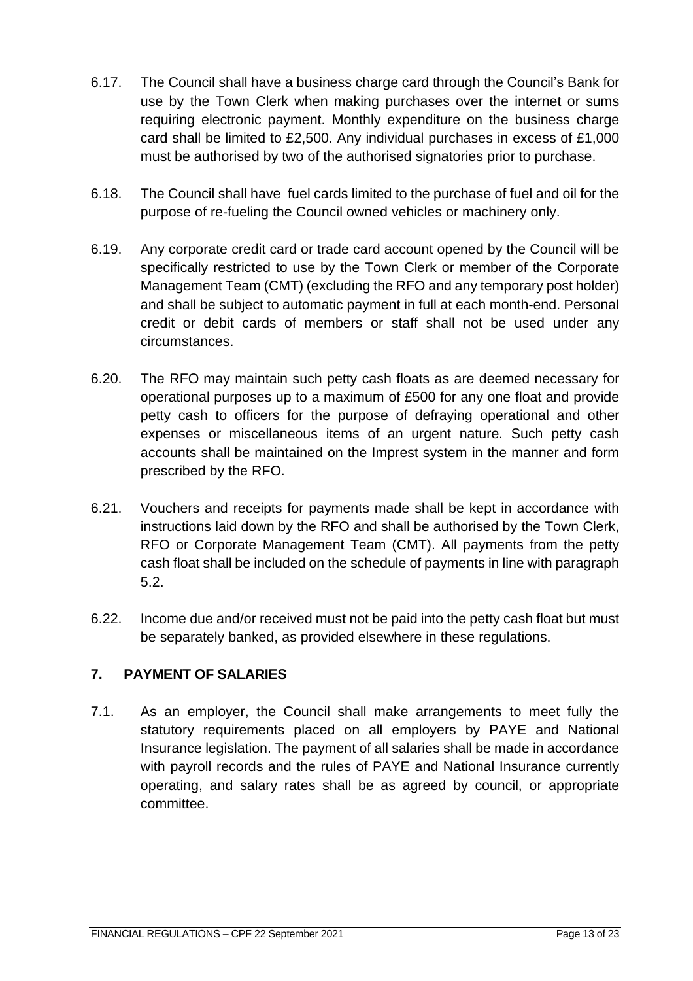- 6.17. The Council shall have a business charge card through the Council's Bank for use by the Town Clerk when making purchases over the internet or sums requiring electronic payment. Monthly expenditure on the business charge card shall be limited to £2,500. Any individual purchases in excess of £1,000 must be authorised by two of the authorised signatories prior to purchase.
- 6.18. The Council shall have fuel cards limited to the purchase of fuel and oil for the purpose of re-fueling the Council owned vehicles or machinery only.
- 6.19. Any corporate credit card or trade card account opened by the Council will be specifically restricted to use by the Town Clerk or member of the Corporate Management Team (CMT) (excluding the RFO and any temporary post holder) and shall be subject to automatic payment in full at each month-end. Personal credit or debit cards of members or staff shall not be used under any circumstances.
- 6.20. The RFO may maintain such petty cash floats as are deemed necessary for operational purposes up to a maximum of £500 for any one float and provide petty cash to officers for the purpose of defraying operational and other expenses or miscellaneous items of an urgent nature. Such petty cash accounts shall be maintained on the Imprest system in the manner and form prescribed by the RFO.
- 6.21. Vouchers and receipts for payments made shall be kept in accordance with instructions laid down by the RFO and shall be authorised by the Town Clerk, RFO or Corporate Management Team (CMT). All payments from the petty cash float shall be included on the schedule of payments in line with paragraph 5.2.
- 6.22. Income due and/or received must not be paid into the petty cash float but must be separately banked, as provided elsewhere in these regulations.

# <span id="page-12-0"></span>**7. PAYMENT OF SALARIES**

7.1. As an employer, the Council shall make arrangements to meet fully the statutory requirements placed on all employers by PAYE and National Insurance legislation. The payment of all salaries shall be made in accordance with payroll records and the rules of PAYE and National Insurance currently operating, and salary rates shall be as agreed by council, or appropriate committee.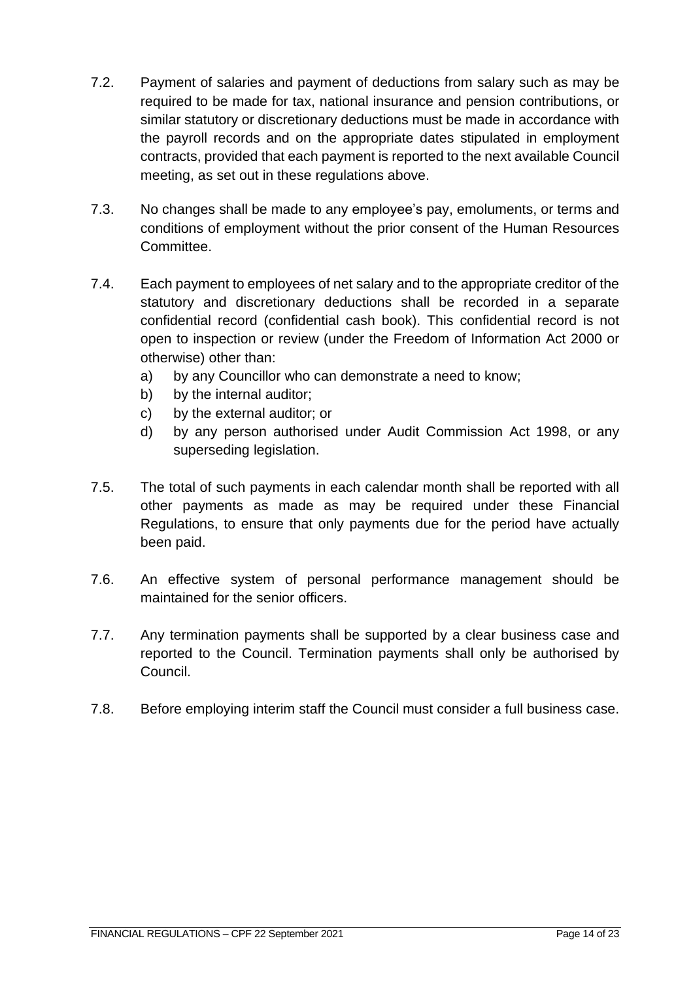- 7.2. Payment of salaries and payment of deductions from salary such as may be required to be made for tax, national insurance and pension contributions, or similar statutory or discretionary deductions must be made in accordance with the payroll records and on the appropriate dates stipulated in employment contracts, provided that each payment is reported to the next available Council meeting, as set out in these regulations above.
- 7.3. No changes shall be made to any employee's pay, emoluments, or terms and conditions of employment without the prior consent of the Human Resources Committee.
- 7.4. Each payment to employees of net salary and to the appropriate creditor of the statutory and discretionary deductions shall be recorded in a separate confidential record (confidential cash book). This confidential record is not open to inspection or review (under the Freedom of Information Act 2000 or otherwise) other than:
	- a) by any Councillor who can demonstrate a need to know;
	- b) by the internal auditor;
	- c) by the external auditor; or
	- d) by any person authorised under Audit Commission Act 1998, or any superseding legislation.
- 7.5. The total of such payments in each calendar month shall be reported with all other payments as made as may be required under these Financial Regulations, to ensure that only payments due for the period have actually been paid.
- 7.6. An effective system of personal performance management should be maintained for the senior officers.
- 7.7. Any termination payments shall be supported by a clear business case and reported to the Council. Termination payments shall only be authorised by Council.
- 7.8. Before employing interim staff the Council must consider a full business case.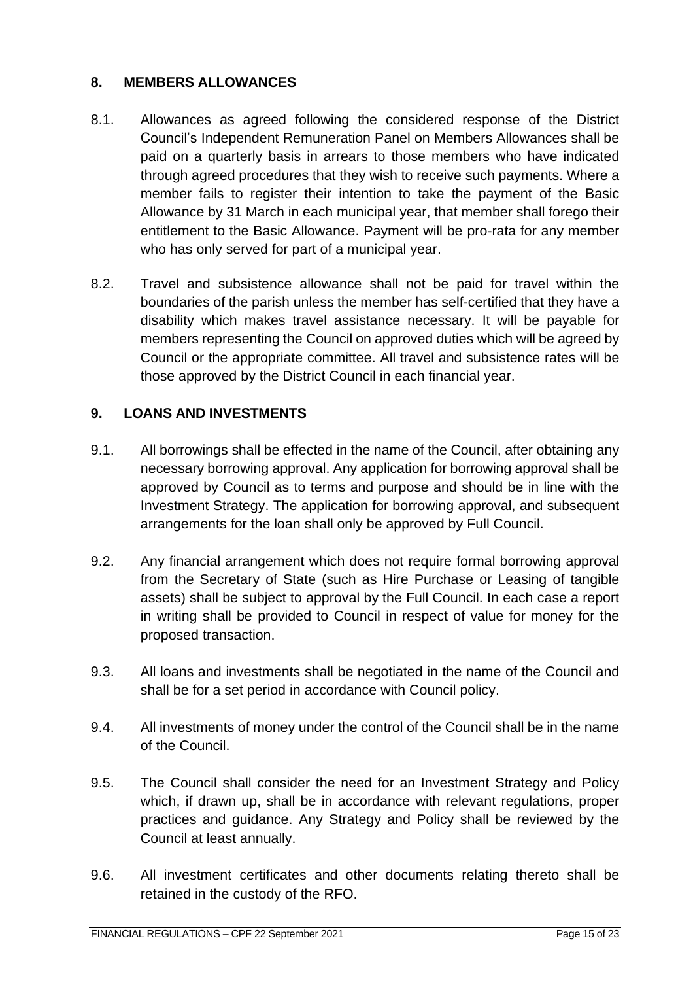# <span id="page-14-0"></span>**8. MEMBERS ALLOWANCES**

- 8.1. Allowances as agreed following the considered response of the District Council's Independent Remuneration Panel on Members Allowances shall be paid on a quarterly basis in arrears to those members who have indicated through agreed procedures that they wish to receive such payments. Where a member fails to register their intention to take the payment of the Basic Allowance by 31 March in each municipal year, that member shall forego their entitlement to the Basic Allowance. Payment will be pro-rata for any member who has only served for part of a municipal year.
- 8.2. Travel and subsistence allowance shall not be paid for travel within the boundaries of the parish unless the member has self-certified that they have a disability which makes travel assistance necessary. It will be payable for members representing the Council on approved duties which will be agreed by Council or the appropriate committee. All travel and subsistence rates will be those approved by the District Council in each financial year.

# <span id="page-14-1"></span>**9. LOANS AND INVESTMENTS**

- 9.1. All borrowings shall be effected in the name of the Council, after obtaining any necessary borrowing approval. Any application for borrowing approval shall be approved by Council as to terms and purpose and should be in line with the Investment Strategy. The application for borrowing approval, and subsequent arrangements for the loan shall only be approved by Full Council.
- 9.2. Any financial arrangement which does not require formal borrowing approval from the Secretary of State (such as Hire Purchase or Leasing of tangible assets) shall be subject to approval by the Full Council. In each case a report in writing shall be provided to Council in respect of value for money for the proposed transaction.
- 9.3. All loans and investments shall be negotiated in the name of the Council and shall be for a set period in accordance with Council policy.
- 9.4. All investments of money under the control of the Council shall be in the name of the Council.
- 9.5. The Council shall consider the need for an Investment Strategy and Policy which, if drawn up, shall be in accordance with relevant regulations, proper practices and guidance. Any Strategy and Policy shall be reviewed by the Council at least annually.
- 9.6. All investment certificates and other documents relating thereto shall be retained in the custody of the RFO.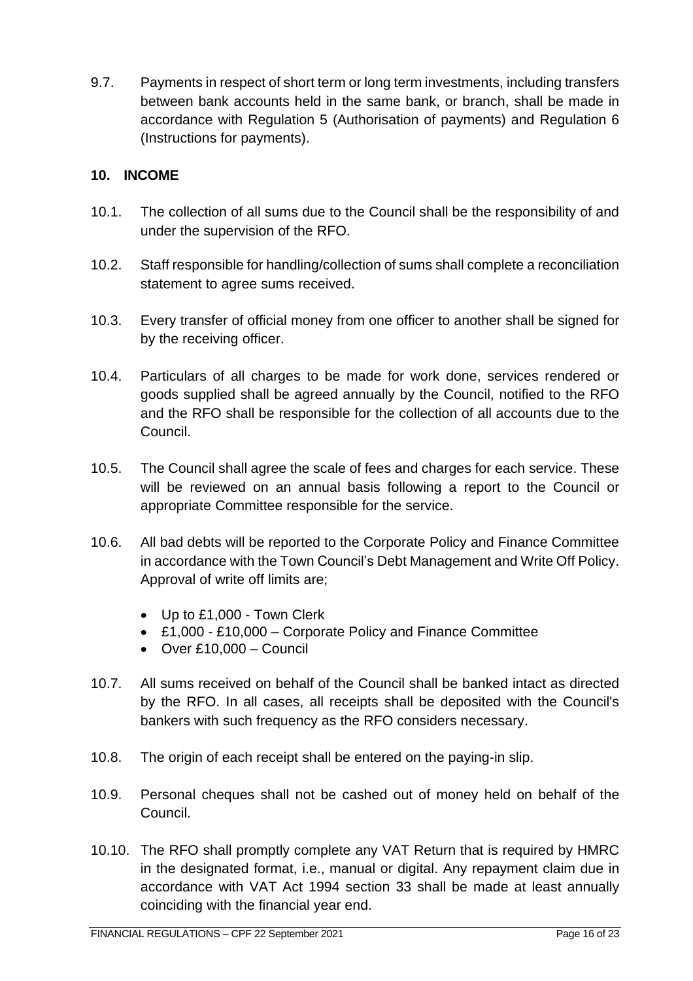9.7. Payments in respect of short term or long term investments, including transfers between bank accounts held in the same bank, or branch, shall be made in accordance with Regulation 5 (Authorisation of payments) and Regulation 6 (Instructions for payments).

# <span id="page-15-0"></span>**10. INCOME**

- 10.1. The collection of all sums due to the Council shall be the responsibility of and under the supervision of the RFO.
- 10.2. Staff responsible for handling/collection of sums shall complete a reconciliation statement to agree sums received.
- 10.3. Every transfer of official money from one officer to another shall be signed for by the receiving officer.
- 10.4. Particulars of all charges to be made for work done, services rendered or goods supplied shall be agreed annually by the Council, notified to the RFO and the RFO shall be responsible for the collection of all accounts due to the Council.
- 10.5. The Council shall agree the scale of fees and charges for each service. These will be reviewed on an annual basis following a report to the Council or appropriate Committee responsible for the service.
- 10.6. All bad debts will be reported to the Corporate Policy and Finance Committee in accordance with the Town Council's Debt Management and Write Off Policy. Approval of write off limits are;
	- Up to £1,000 Town Clerk
	- £1,000 £10,000 Corporate Policy and Finance Committee
	- Over £10,000 Council
- 10.7. All sums received on behalf of the Council shall be banked intact as directed by the RFO. In all cases, all receipts shall be deposited with the Council's bankers with such frequency as the RFO considers necessary.
- 10.8. The origin of each receipt shall be entered on the paying-in slip.
- 10.9. Personal cheques shall not be cashed out of money held on behalf of the Council.
- 10.10. The RFO shall promptly complete any VAT Return that is required by HMRC in the designated format, i.e., manual or digital. Any repayment claim due in accordance with VAT Act 1994 section 33 shall be made at least annually coinciding with the financial year end.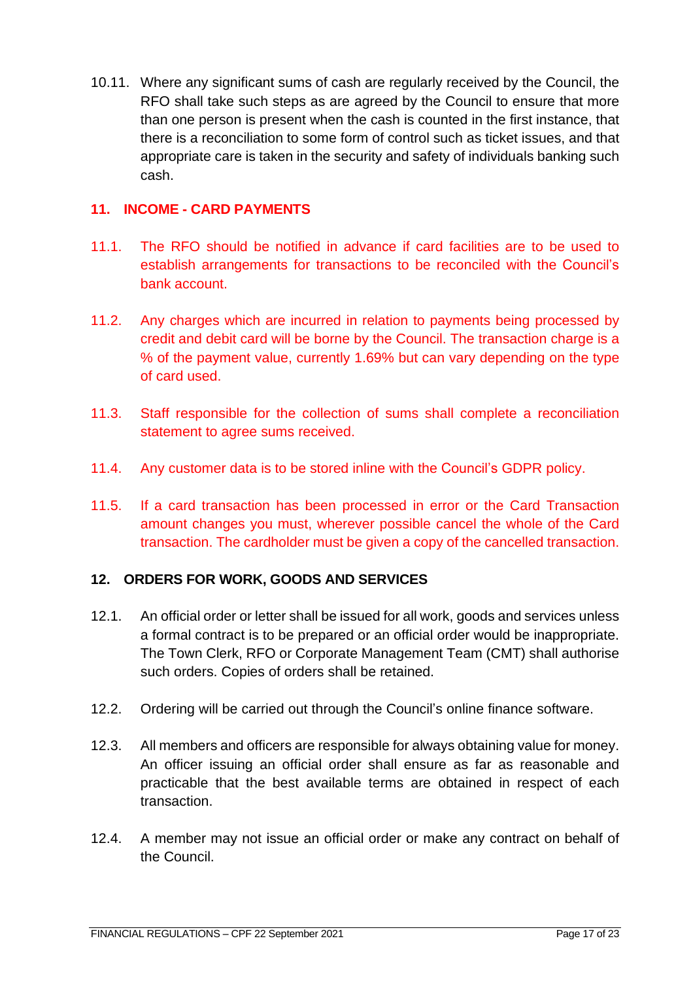10.11. Where any significant sums of cash are regularly received by the Council, the RFO shall take such steps as are agreed by the Council to ensure that more than one person is present when the cash is counted in the first instance, that there is a reconciliation to some form of control such as ticket issues, and that appropriate care is taken in the security and safety of individuals banking such cash.

#### <span id="page-16-0"></span>**11. INCOME - CARD PAYMENTS**

- 11.1. The RFO should be notified in advance if card facilities are to be used to establish arrangements for transactions to be reconciled with the Council's bank account.
- 11.2. Any charges which are incurred in relation to payments being processed by credit and debit card will be borne by the Council. The transaction charge is a % of the payment value, currently 1.69% but can vary depending on the type of card used.
- 11.3. Staff responsible for the collection of sums shall complete a reconciliation statement to agree sums received.
- 11.4. Any customer data is to be stored inline with the Council's GDPR policy.
- 11.5. If a card transaction has been processed in error or the Card Transaction amount changes you must, wherever possible cancel the whole of the Card transaction. The cardholder must be given a copy of the cancelled transaction.

# <span id="page-16-1"></span>**12. ORDERS FOR WORK, GOODS AND SERVICES**

- 12.1. An official order or letter shall be issued for all work, goods and services unless a formal contract is to be prepared or an official order would be inappropriate. The Town Clerk, RFO or Corporate Management Team (CMT) shall authorise such orders. Copies of orders shall be retained.
- 12.2. Ordering will be carried out through the Council's online finance software.
- 12.3. All members and officers are responsible for always obtaining value for money. An officer issuing an official order shall ensure as far as reasonable and practicable that the best available terms are obtained in respect of each transaction.
- 12.4. A member may not issue an official order or make any contract on behalf of the Council.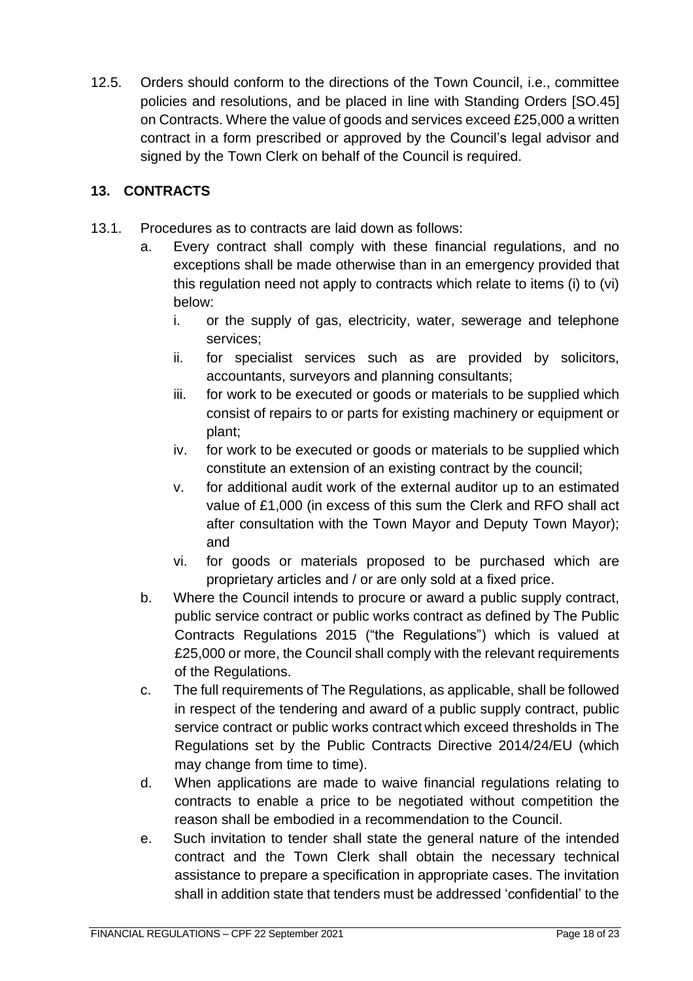12.5. Orders should conform to the directions of the Town Council, i.e., committee policies and resolutions, and be placed in line with Standing Orders [SO.45] on Contracts. Where the value of goods and services exceed £25,000 a written contract in a form prescribed or approved by the Council's legal advisor and signed by the Town Clerk on behalf of the Council is required.

# <span id="page-17-0"></span>**13. CONTRACTS**

- 13.1. Procedures as to contracts are laid down as follows:
	- a. Every contract shall comply with these financial regulations, and no exceptions shall be made otherwise than in an emergency provided that this regulation need not apply to contracts which relate to items (i) to (vi) below:
		- i. or the supply of gas, electricity, water, sewerage and telephone services;
		- ii. for specialist services such as are provided by solicitors, accountants, surveyors and planning consultants;
		- iii. for work to be executed or goods or materials to be supplied which consist of repairs to or parts for existing machinery or equipment or plant;
		- iv. for work to be executed or goods or materials to be supplied which constitute an extension of an existing contract by the council;
		- v. for additional audit work of the external auditor up to an estimated value of £1,000 (in excess of this sum the Clerk and RFO shall act after consultation with the Town Mayor and Deputy Town Mayor); and
		- vi. for goods or materials proposed to be purchased which are proprietary articles and / or are only sold at a fixed price.
	- b. Where the Council intends to procure or award a public supply contract, public service contract or public works contract as defined by The Public Contracts Regulations 2015 ("the Regulations") which is valued at £25,000 or more, the Council shall comply with the relevant requirements of the Regulations.
	- c. The full requirements of The Regulations, as applicable, shall be followed in respect of the tendering and award of a public supply contract, public service contract or public works contract which exceed thresholds in The Regulations set by the Public Contracts Directive 2014/24/EU (which may change from time to time).
	- d. When applications are made to waive financial regulations relating to contracts to enable a price to be negotiated without competition the reason shall be embodied in a recommendation to the Council.
	- e. Such invitation to tender shall state the general nature of the intended contract and the Town Clerk shall obtain the necessary technical assistance to prepare a specification in appropriate cases. The invitation shall in addition state that tenders must be addressed 'confidential' to the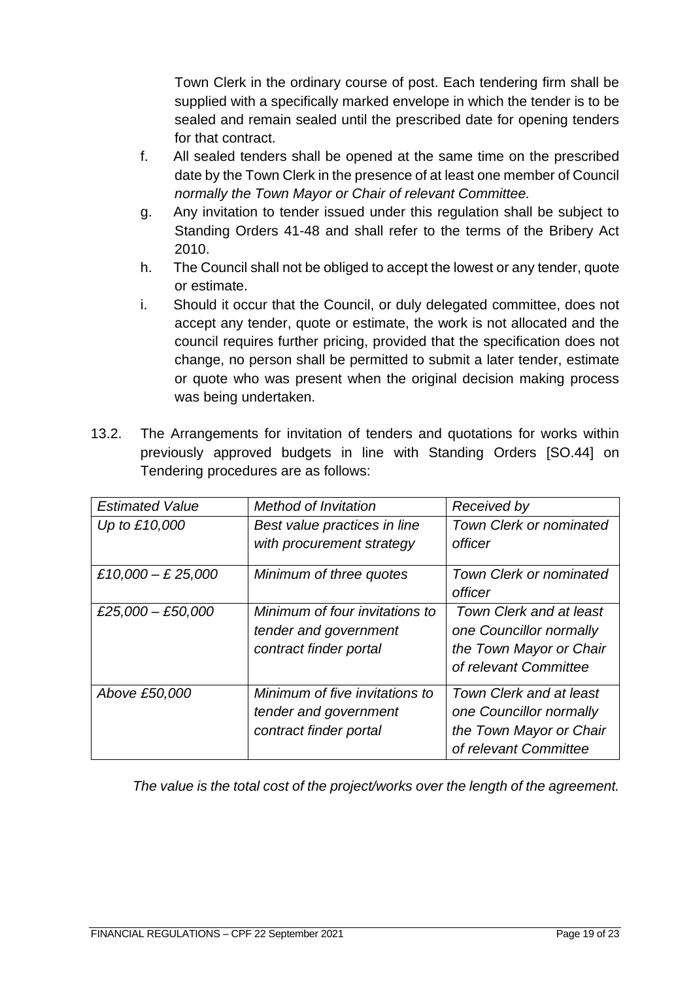Town Clerk in the ordinary course of post. Each tendering firm shall be supplied with a specifically marked envelope in which the tender is to be sealed and remain sealed until the prescribed date for opening tenders for that contract.

- f. All sealed tenders shall be opened at the same time on the prescribed date by the Town Clerk in the presence of at least one member of Council *normally the Town Mayor or Chair of relevant Committee.*
- g. Any invitation to tender issued under this regulation shall be subject to Standing Orders 41-48 and shall refer to the terms of the Bribery Act 2010.
- h. The Council shall not be obliged to accept the lowest or any tender, quote or estimate.
- i. Should it occur that the Council, or duly delegated committee, does not accept any tender, quote or estimate, the work is not allocated and the council requires further pricing, provided that the specification does not change, no person shall be permitted to submit a later tender, estimate or quote who was present when the original decision making process was being undertaken.
- 13.2. The Arrangements for invitation of tenders and quotations for works within previously approved budgets in line with Standing Orders [SO.44] on Tendering procedures are as follows:

| <b>Estimated Value</b> | <b>Method of Invitation</b>                                                       | Received by                                                                                            |
|------------------------|-----------------------------------------------------------------------------------|--------------------------------------------------------------------------------------------------------|
| Up to £10,000          | Best value practices in line                                                      | <b>Town Clerk or nominated</b>                                                                         |
|                        | with procurement strategy                                                         | officer                                                                                                |
| £10,000 - £ 25,000     | Minimum of three quotes                                                           | <b>Town Clerk or nominated</b>                                                                         |
|                        |                                                                                   | officer                                                                                                |
| £25,000 - £50,000      | Minimum of four invitations to<br>tender and government<br>contract finder portal | Town Clerk and at least<br>one Councillor normally<br>the Town Mayor or Chair<br>of relevant Committee |
| Above £50,000          | Minimum of five invitations to<br>tender and government<br>contract finder portal | Town Clerk and at least<br>one Councillor normally<br>the Town Mayor or Chair<br>of relevant Committee |

*The value is the total cost of the project/works over the length of the agreement.*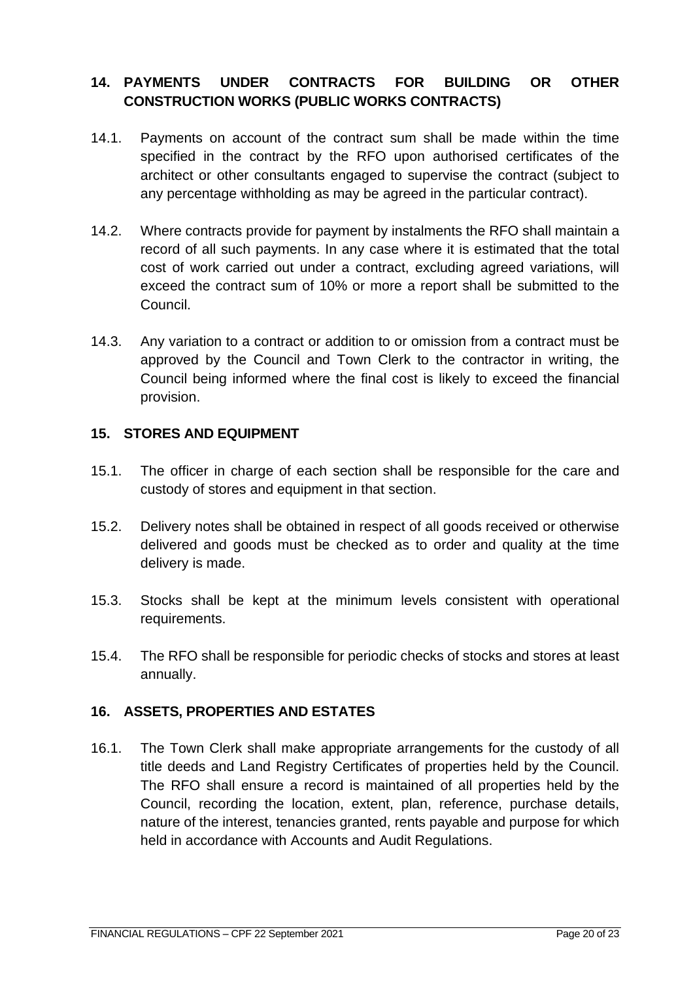# <span id="page-19-0"></span>**14. PAYMENTS UNDER CONTRACTS FOR BUILDING OR OTHER CONSTRUCTION WORKS (PUBLIC WORKS CONTRACTS)**

- 14.1. Payments on account of the contract sum shall be made within the time specified in the contract by the RFO upon authorised certificates of the architect or other consultants engaged to supervise the contract (subject to any percentage withholding as may be agreed in the particular contract).
- 14.2. Where contracts provide for payment by instalments the RFO shall maintain a record of all such payments. In any case where it is estimated that the total cost of work carried out under a contract, excluding agreed variations, will exceed the contract sum of 10% or more a report shall be submitted to the Council.
- 14.3. Any variation to a contract or addition to or omission from a contract must be approved by the Council and Town Clerk to the contractor in writing, the Council being informed where the final cost is likely to exceed the financial provision.

#### <span id="page-19-1"></span>**15. STORES AND EQUIPMENT**

- 15.1. The officer in charge of each section shall be responsible for the care and custody of stores and equipment in that section.
- 15.2. Delivery notes shall be obtained in respect of all goods received or otherwise delivered and goods must be checked as to order and quality at the time delivery is made.
- 15.3. Stocks shall be kept at the minimum levels consistent with operational requirements.
- 15.4. The RFO shall be responsible for periodic checks of stocks and stores at least annually.

# <span id="page-19-2"></span>**16. ASSETS, PROPERTIES AND ESTATES**

16.1. The Town Clerk shall make appropriate arrangements for the custody of all title deeds and Land Registry Certificates of properties held by the Council. The RFO shall ensure a record is maintained of all properties held by the Council, recording the location, extent, plan, reference, purchase details, nature of the interest, tenancies granted, rents payable and purpose for which held in accordance with Accounts and Audit Regulations.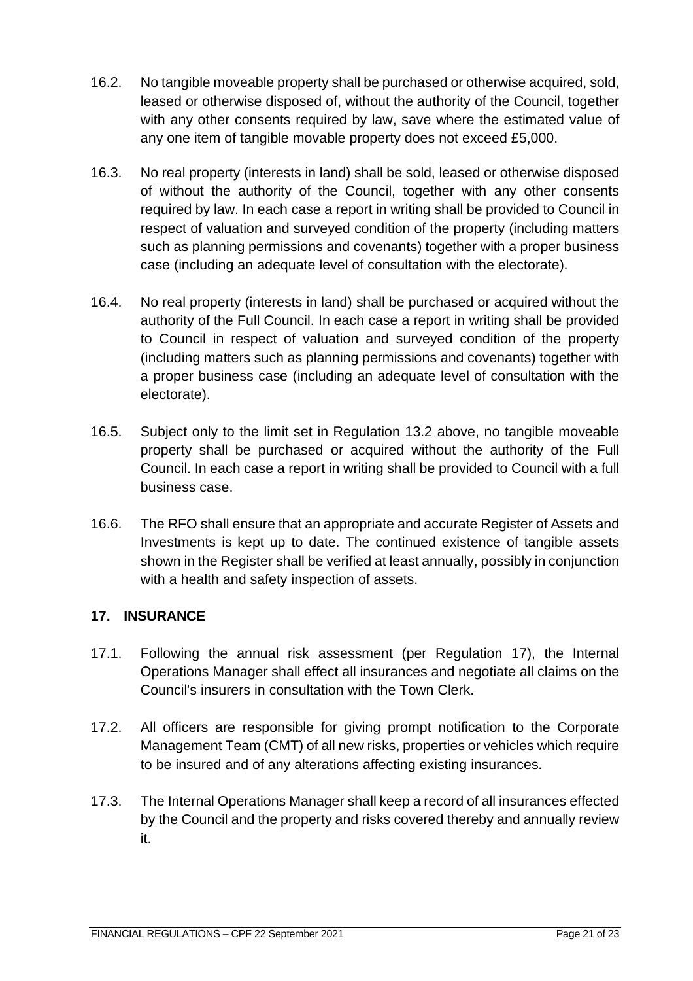- 16.2. No tangible moveable property shall be purchased or otherwise acquired, sold, leased or otherwise disposed of, without the authority of the Council, together with any other consents required by law, save where the estimated value of any one item of tangible movable property does not exceed £5,000.
- 16.3. No real property (interests in land) shall be sold, leased or otherwise disposed of without the authority of the Council, together with any other consents required by law. In each case a report in writing shall be provided to Council in respect of valuation and surveyed condition of the property (including matters such as planning permissions and covenants) together with a proper business case (including an adequate level of consultation with the electorate).
- 16.4. No real property (interests in land) shall be purchased or acquired without the authority of the Full Council. In each case a report in writing shall be provided to Council in respect of valuation and surveyed condition of the property (including matters such as planning permissions and covenants) together with a proper business case (including an adequate level of consultation with the electorate).
- 16.5. Subject only to the limit set in Regulation 13.2 above, no tangible moveable property shall be purchased or acquired without the authority of the Full Council. In each case a report in writing shall be provided to Council with a full business case.
- 16.6. The RFO shall ensure that an appropriate and accurate Register of Assets and Investments is kept up to date. The continued existence of tangible assets shown in the Register shall be verified at least annually, possibly in conjunction with a health and safety inspection of assets.

# <span id="page-20-0"></span>**17. INSURANCE**

- 17.1. Following the annual risk assessment (per Regulation 17), the Internal Operations Manager shall effect all insurances and negotiate all claims on the Council's insurers in consultation with the Town Clerk.
- 17.2. All officers are responsible for giving prompt notification to the Corporate Management Team (CMT) of all new risks, properties or vehicles which require to be insured and of any alterations affecting existing insurances.
- 17.3. The Internal Operations Manager shall keep a record of all insurances effected by the Council and the property and risks covered thereby and annually review it.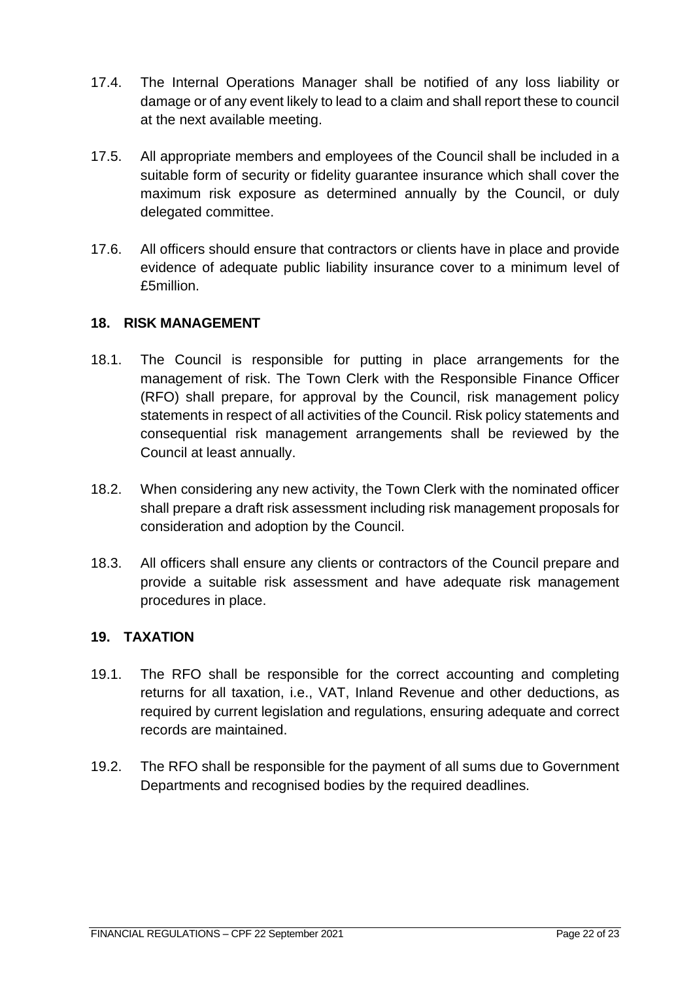- 17.4. The Internal Operations Manager shall be notified of any loss liability or damage or of any event likely to lead to a claim and shall report these to council at the next available meeting.
- 17.5. All appropriate members and employees of the Council shall be included in a suitable form of security or fidelity guarantee insurance which shall cover the maximum risk exposure as determined annually by the Council, or duly delegated committee.
- 17.6. All officers should ensure that contractors or clients have in place and provide evidence of adequate public liability insurance cover to a minimum level of £5million.

# <span id="page-21-0"></span>**18. RISK MANAGEMENT**

- 18.1. The Council is responsible for putting in place arrangements for the management of risk. The Town Clerk with the Responsible Finance Officer (RFO) shall prepare, for approval by the Council, risk management policy statements in respect of all activities of the Council. Risk policy statements and consequential risk management arrangements shall be reviewed by the Council at least annually.
- 18.2. When considering any new activity, the Town Clerk with the nominated officer shall prepare a draft risk assessment including risk management proposals for consideration and adoption by the Council.
- 18.3. All officers shall ensure any clients or contractors of the Council prepare and provide a suitable risk assessment and have adequate risk management procedures in place.

#### <span id="page-21-1"></span>**19. TAXATION**

- 19.1. The RFO shall be responsible for the correct accounting and completing returns for all taxation, i.e., VAT, Inland Revenue and other deductions, as required by current legislation and regulations, ensuring adequate and correct records are maintained.
- 19.2. The RFO shall be responsible for the payment of all sums due to Government Departments and recognised bodies by the required deadlines.